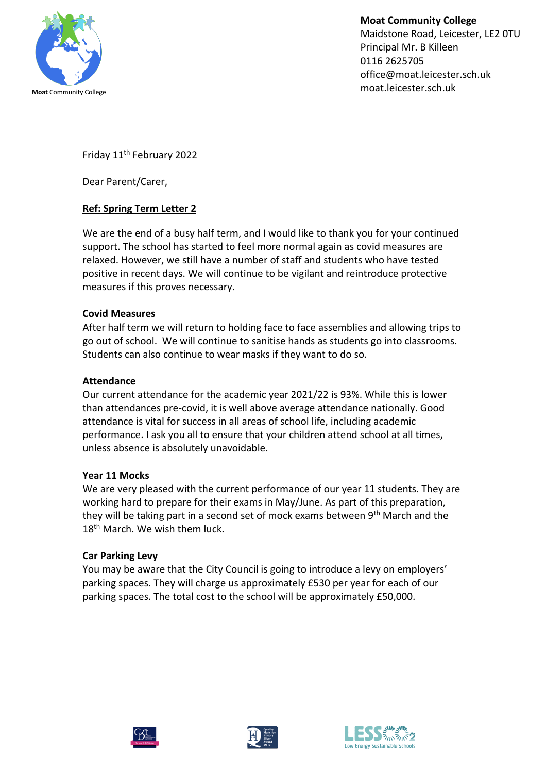

**Moat Community College** Maidstone Road, Leicester, LE2 0TU Principal Mr. B Killeen 0116 2625705 office@moat.leicester.sch.uk moat.leicester.sch.uk

Friday 11th February 2022

Dear Parent/Carer,

# **Ref: Spring Term Letter 2**

We are the end of a busy half term, and I would like to thank you for your continued support. The school has started to feel more normal again as covid measures are relaxed. However, we still have a number of staff and students who have tested positive in recent days. We will continue to be vigilant and reintroduce protective measures if this proves necessary.

## **Covid Measures**

After half term we will return to holding face to face assemblies and allowing trips to go out of school. We will continue to sanitise hands as students go into classrooms. Students can also continue to wear masks if they want to do so.

### **Attendance**

Our current attendance for the academic year 2021/22 is 93%. While this is lower than attendances pre-covid, it is well above average attendance nationally. Good attendance is vital for success in all areas of school life, including academic performance. I ask you all to ensure that your children attend school at all times, unless absence is absolutely unavoidable.

### **Year 11 Mocks**

We are very pleased with the current performance of our year 11 students. They are working hard to prepare for their exams in May/June. As part of this preparation, they will be taking part in a second set of mock exams between 9<sup>th</sup> March and the 18<sup>th</sup> March. We wish them luck.

### **Car Parking Levy**

You may be aware that the City Council is going to introduce a levy on employers' parking spaces. They will charge us approximately £530 per year for each of our parking spaces. The total cost to the school will be approximately £50,000.





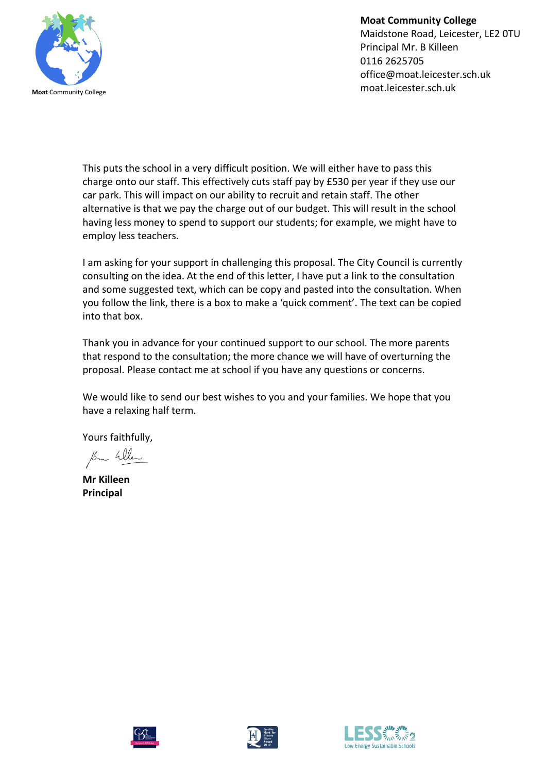

**Moat Community College** Maidstone Road, Leicester, LE2 0TU Principal Mr. B Killeen 0116 2625705 office@moat.leicester.sch.uk moat.leicester.sch.uk

This puts the school in a very difficult position. We will either have to pass this charge onto our staff. This effectively cuts staff pay by £530 per year if they use our car park. This will impact on our ability to recruit and retain staff. The other alternative is that we pay the charge out of our budget. This will result in the school having less money to spend to support our students; for example, we might have to employ less teachers.

I am asking for your support in challenging this proposal. The City Council is currently consulting on the idea. At the end of this letter, I have put a link to the consultation and some suggested text, which can be copy and pasted into the consultation. When you follow the link, there is a box to make a 'quick comment'. The text can be copied into that box.

Thank you in advance for your continued support to our school. The more parents that respond to the consultation; the more chance we will have of overturning the proposal. Please contact me at school if you have any questions or concerns.

We would like to send our best wishes to you and your families. We hope that you have a relaxing half term.

Yours faithfully,

Bu When

**Mr Killeen Principal**